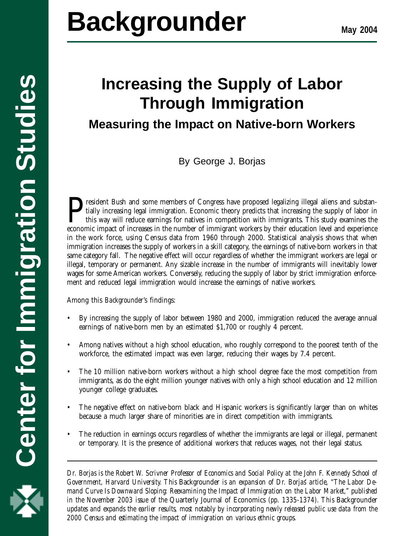

# **Center for Immigration Studies Backgrounder**

# **Increasing the Supply of Labor Through Immigration**

## **Measuring the Impact on Native-born Workers**

By George J. Borjas

President Bush and some members of Congress have proposed legalizing illegal aliens and substantially increasing legal immigration. Economic theory predicts that increasing the supply of labor in this way will reduce earnings for natives in competition with immigrants. This study examines the economic impact of increases in the number of immigrant workers by their education level and experience in the work force, using Census data from 1960 through 2000. Statistical analysis shows that when immigration increases the supply of workers in a skill category, the earnings of native-born workers in that same category fall. The negative effect will occur regardless of whether the immigrant workers are legal or illegal, temporary or permanent. Any sizable increase in the number of immigrants will inevitably lower wages for some American workers. Conversely, reducing the supply of labor by strict immigration enforcement and reduced legal immigration would increase the earnings of native workers.

Among this *Backgrounder*'s findings:

- By increasing the supply of labor between 1980 and 2000, immigration reduced the average annual earnings of native-born men by an estimated \$1,700 or roughly 4 percent.
- Among natives without a high school education, who roughly correspond to the poorest tenth of the workforce, the estimated impact was even larger, reducing their wages by 7.4 percent.
- The 10 million native-born workers without a high school degree face the most competition from immigrants, as do the eight million younger natives with only a high school education and 12 million younger college graduates.
- The negative effect on native-born black and Hispanic workers is significantly larger than on whites because a much larger share of minorities are in direct competition with immigrants.
- The reduction in earnings occurs regardless of whether the immigrants are legal or illegal, permanent or temporary. It is the presence of additional workers that reduces wages, not their legal status.

**1** *2000 Census and estimating the impact of immigration on various ethnic groups. Dr. Borjas is the Robert W. Scrivner Professor of Economics and Social Policy at the John F. Kennedy School of Government, Harvard University. This* Backgrounder *is an expansion of Dr. Borjas' article, "The Labor Demand Curve Is Downward Sloping: Reexamining the Impact of Immigration on the Labor Market," published in the November 2003 issue of the* Quarterly Journal of Economics *(pp. 1335-1374). This* Backgrounder *updates and expands the earlier results, most notably by incorporating newly released public use data from the*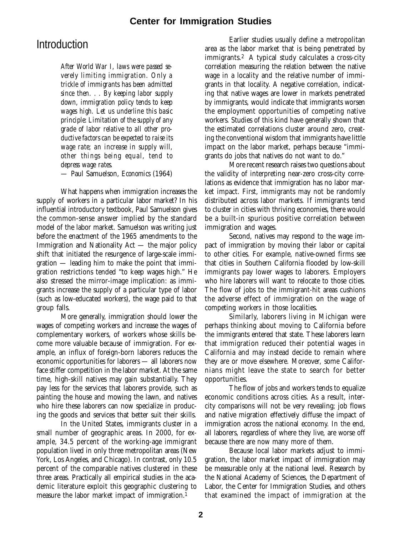### **Introduction**

*After World War I, laws were passed severely limiting immigration. Only a trickle of immigrants has been admitted since then. . . By keeping labor supply down, immigration policy tends to keep wages high. Let us underline this basic principle: Limitation of the supply of any grade of labor relative to all other productive factors can be expected to raise its wage rate; an increase in supply will, other things being equal, tend to depress wage rates.*

— Paul Samuelson, *Economics* (1964)

What happens when immigration increases the supply of workers in a particular labor market? In his influential introductory textbook, Paul Samuelson gives the common-sense answer implied by the standard model of the labor market. Samuelson was writing just before the enactment of the 1965 amendments to the Immigration and Nationality Act — the major policy shift that initiated the resurgence of large-scale immigration — leading him to make the point that immigration restrictions tended "to keep wages high." He also stressed the mirror-image implication: as immigrants increase the supply of a particular type of labor (such as low-educated workers), the wage paid to that group falls.

More generally, immigration should lower the wages of competing workers and increase the wages of complementary workers, of workers whose skills become more valuable because of immigration. For example, an influx of foreign-born laborers reduces the economic opportunities for laborers — all laborers now face stiffer competition in the labor market. At the same time, high-skill natives may gain substantially. They pay less for the services that laborers provide, such as painting the house and mowing the lawn, and natives who hire these laborers can now specialize in producing the goods and services that better suit their skills.

In the United States, immigrants cluster in a small number of geographic areas. In 2000, for example, 34.5 percent of the working-age immigrant population lived in only three metropolitan areas (New York, Los Angeles, and Chicago). In contrast, only 10.5 percent of the comparable natives clustered in these three areas. Practically all empirical studies in the academic literature exploit this geographic clustering to measure the labor market impact of immigration.<sup>1</sup>

Earlier studies usually define a metropolitan area as the labor market that is being penetrated by immigrants.2 A typical study calculates a cross-city correlation measuring the relation between the native wage in a locality and the relative number of immigrants in that locality. A negative correlation, indicating that native wages are lower in markets penetrated by immigrants, would indicate that immigrants worsen the employment opportunities of competing native workers. Studies of this kind have generally shown that the estimated correlations cluster around zero, creating the conventional wisdom that immigrants have little impact on the labor market, perhaps because "immigrants do jobs that natives do not want to do."

More recent research raises two questions about the validity of interpreting near-zero cross-city correlations as evidence that immigration has no labor market impact. First, immigrants may not be randomly distributed across labor markets. If immigrants tend to cluster in cities with thriving economies, there would be a built-in spurious positive correlation between immigration and wages.

Second, natives may respond to the wage impact of immigration by moving their labor or capital to other cities. For example, native-owned firms see that cities in Southern California flooded by low-skill immigrants pay lower wages to laborers. Employers who hire laborers will want to relocate to those cities. The flow of jobs to the immigrant-hit areas cushions the adverse effect of immigration on the wage of competing workers in those localities.

Similarly, laborers living in Michigan were perhaps thinking about moving to California before the immigrants entered that state. These laborers learn that immigration reduced their potential wages in California and may instead decide to remain where they are or move elsewhere. Moreover, some Californians might leave the state to search for better opportunities.

The flow of jobs and workers tends to equalize economic conditions across cities. As a result, intercity comparisons will not be very revealing; job flows and native migration effectively diffuse the impact of immigration across the national economy. In the end, all laborers, regardless of where they live, are worse off because there are now many more of them.

Because local labor markets adjust to immigration, the labor market impact of immigration may be measurable only at the national level. Research by the National Academy of Sciences, the Department of Labor, the Center for Immigration Studies, and others that examined the impact of immigration at the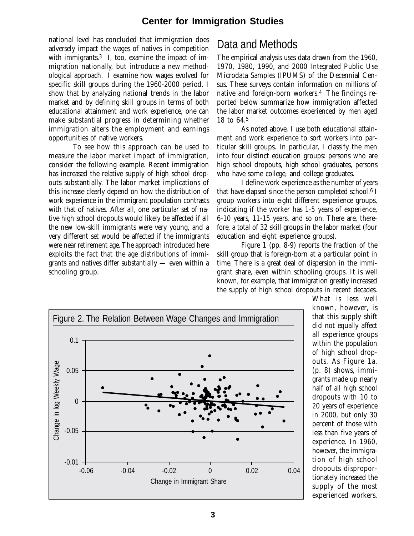national level has concluded that immigration does adversely impact the wages of natives in competition with immigrants. $3$  I, too, examine the impact of immigration nationally, but introduce a new methodological approach. I examine how wages evolved for specific skill groups during the 1960-2000 period. I show that by analyzing national trends in the labor market and by defining skill groups in terms of both educational attainment and work experience, one can make substantial progress in determining whether immigration alters the employment and earnings opportunities of native workers.

To see how this approach can be used to measure the labor market impact of immigration, consider the following example. Recent immigration has increased the relative supply of high school dropouts substantially. The labor market implications of this increase clearly depend on how the distribution of work experience in the immigrant population contrasts with that of natives. After all, one particular set of native high school dropouts would likely be affected if all the new low-skill immigrants were very young, and a very different set would be affected if the immigrants were near retirement age. The approach introduced here exploits the fact that the age distributions of immigrants and natives differ substantially — even within a schooling group.

## Data and Methods

The empirical analysis uses data drawn from the 1960, 1970, 1980, 1990, and 2000 Integrated Public Use Microdata Samples (IPUMS) of the Decennial Census. These surveys contain information on millions of native and foreign-born workers.4 The findings reported below summarize how immigration affected the labor market outcomes experienced by men aged 18 to 64.5

As noted above, I use both educational attainment and work experience to sort workers into particular skill groups. In particular, I classify the men into four distinct education groups: persons who are high school dropouts, high school graduates, persons who have some college, and college graduates.

I define work experience as the number of years that have elapsed since the person completed school.<sup>6</sup> I group workers into eight different experience groups, indicating if the worker has 1-5 years of experience, 6-10 years, 11-15 years, and so on. There are, therefore, a total of 32 skill groups in the labor market (four education and eight experience groups).

Figure 1 (pp. 8-9) reports the fraction of the skill group that is foreign-born at a particular point in time. There is a great deal of dispersion in the immigrant share, even within schooling groups. It is well known, for example, that immigration greatly increased the supply of high school dropouts in recent decades.



What is less well known, however, is that this supply shift did not equally affect all experience groups within the population of high school dropouts. As Figure 1a. (p. 8) shows, immigrants made up nearly half of all high school dropouts with 10 to 20 years of experience in 2000, but only 30 percent of those with less than five years of experience. In 1960, however, the immigration of high school dropouts disproportionately increased the supply of the most experienced workers.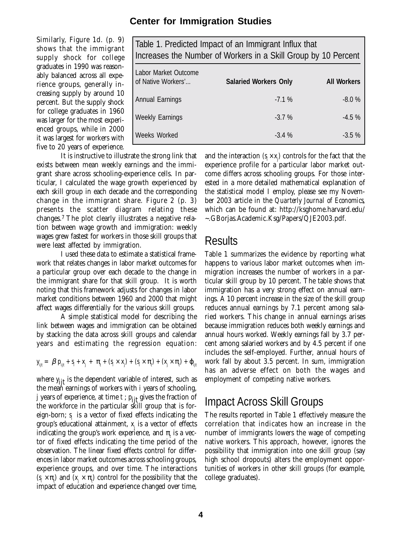Similarly, Figure 1d. (p. 9) shows that the immigrant supply shock for college graduates in 1990 was reasonably balanced across all experience groups, generally increasing supply by around 10 percent. But the supply shock for college graduates in 1960 was larger for the most experienced groups, while in 2000 it was largest for workers with five to 20 years of experience.

Table 1. Predicted Impact of an Immigrant Influx that Increases the Number of Workers in a Skill Group by 10 Percent Labor Market Outcome of Native Workers'... Annual Earnings Weekly Earnings Weeks Worked **Salaried Workers Only** -7.1 % -3.7 % -3.4 % **All Workers** -8.0 % -4.5 % -3.5 %

It is instructive to illustrate the strong link that exists between mean weekly earnings and the immigrant share across schooling-experience cells. In particular, I calculated the wage growth experienced by each skill group in each decade and the corresponding change in the immigrant share. Figure 2 (p. 3) presents the scatter diagram relating these changes.7 The plot clearly illustrates a negative relation between wage growth and immigration: weekly wages grew fastest for workers in those skill groups that were least affected by immigration.

I used these data to estimate a statistical framework that relates changes in labor market outcomes for a particular group over each decade to the change in the immigrant share for that skill group. It is worth noting that this framework adjusts for changes in labor market conditions between 1960 and 2000 that might affect wages differentially for the various skill groups.

A simple statistical model for describing the link between wages and immigration can be obtained by stacking the data across skill groups and calendar years and estimating the regression equation:

$$
y_{ijt} = \beta p_{ijt} + s_i + x_j + \pi_t + (s_i \times x_j) + (s_i \times \pi_t) + (x_j \times \pi_t) + \varphi_{ijt}
$$

where *y ijt* is the dependent variable of interest, such as the mean earnings of workers with *i* years of schooling,  $j$  years of experience, at time  $t$ ;  $p_{jij}$  gives the fraction of the workforce in the particular skill group that is foreign-born; *s <sup>i</sup>*is a vector of fixed effects indicating the group's educational attainment,  $x_i$  is a vector of effects indicating the group's work experience, and  $\pi$ , is a vector of fixed effects indicating the time period of the observation. The linear fixed effects control for differences in labor market outcomes across schooling groups, experience groups, and over time. The interactions  $(s_i \times \pi)$  and  $(x_j \times \pi)$  control for the possibility that the impact of education and experience changed over time,

and the interaction  $(s_{i} \times x_{j})$  controls for the fact that the experience profile for a particular labor market outcome differs across schooling groups. For those interested in a more detailed mathematical explanation of the statistical model I employ, please see my November 2003 article in the *Quarterly Journal of Economics*, which can be found at: http://ksghome.harvard.edu/ ~.GBorjas.Academic.Ksg/Papers/QJE2003.pdf.

#### **Results**

Table 1 summarizes the evidence by reporting what happens to various labor market outcomes when immigration increases the number of workers in a particular skill group by 10 percent. The table shows that immigration has a very strong effect on annual earnings. A 10 percent increase in the size of the skill group reduces annual earnings by 7.1 percent among salaried workers. This change in annual earnings arises because immigration reduces both weekly earnings and annual hours worked. Weekly earnings fall by 3.7 percent among salaried workers and by 4.5 percent if one includes the self-employed. Further, annual hours of work fall by about 3.5 percent. In sum, immigration has an adverse effect on both the wages and employment of competing native workers.

### Impact Across Skill Groups

The results reported in Table 1 effectively measure the correlation that indicates how an increase in the number of immigrants lowers the wage of competing native workers. This approach, however, ignores the possibility that immigration into one skill group (say high school dropouts) alters the employment opportunities of workers in other skill groups (for example, college graduates).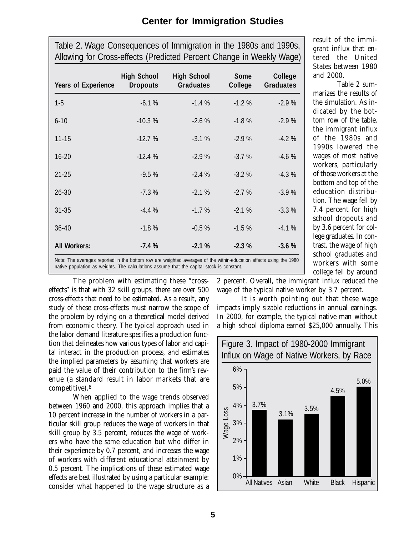| <b>Years of Experience</b> | <b>High School</b><br><b>Dropouts</b> | <b>High School</b><br><b>Graduates</b> | <b>Some</b><br>College | College<br><b>Graduates</b> |
|----------------------------|---------------------------------------|----------------------------------------|------------------------|-----------------------------|
| $1 - 5$                    | $-6.1%$                               | $-1.4%$                                | $-1.2%$                | $-2.9%$                     |
| $6 - 10$                   | $-10.3%$                              | $-2.6%$                                | $-1.8%$                | $-2.9%$                     |
| $11 - 15$                  | $-12.7%$                              | $-3.1%$                                | $-2.9%$                | $-4.2%$                     |
| 16-20                      | $-12.4%$                              | $-2.9%$                                | $-3.7%$                | $-4.6%$                     |
| $21 - 25$                  | $-9.5%$                               | $-2.4%$                                | $-3.2%$                | $-4.3%$                     |
| 26-30                      | $-7.3%$                               | $-2.1%$                                | $-2.7%$                | $-3.9%$                     |
| $31 - 35$                  | $-4.4%$                               | $-1.7%$                                | $-2.1%$                | $-3.3%$                     |
| 36-40                      | $-1.8%$                               | $-0.5%$                                | $-1.5%$                | $-4.1%$                     |
| <b>All Workers:</b>        | $-7.4%$                               | $-2.1%$                                | $-2.3%$                | $-3.6%$                     |

Table 2. Wage Consequences of Immigration in the 1980s and 1990s,

result of the immigrant influx that entered the United States between 1980 and 2000.

Table 2 summarizes the results of the simulation. As indicated by the bottom row of the table, the immigrant influx of the 1980s and 1990s lowered the wages of most native workers, particularly of those workers at the bottom and top of the education distribution. The wage fell by 7.4 percent for high school dropouts and by 3.6 percent for college graduates. In contrast, the wage of high school graduates and workers with some college fell by around

Note: The averages reported in the bottom row are weighted averages of the within-education effects using the 1980 native population as weights. The calculations assume that the capital stock is constant.

The problem with estimating these "crosseffects" is that with 32 skill groups, there are over 500 cross-effects that need to be estimated. As a result, any study of these cross-effects must narrow the scope of the problem by relying on a theoretical model derived from economic theory. The typical approach used in the labor demand literature specifies a production function that delineates how various types of labor and capital interact in the production process, and estimates the implied parameters by assuming that workers are paid the value of their contribution to the firm's revenue (a standard result in labor markets that are competitive).8

When applied to the wage trends observed between 1960 and 2000, this approach implies that a 10 percent increase in the number of workers in a particular skill group reduces the wage of workers in that skill group by 3.5 percent, reduces the wage of workers who have the same education but who differ in their experience by 0.7 percent, and increases the wage of workers with different educational attainment by 0.5 percent. The implications of these estimated wage effects are best illustrated by using a particular example: consider what happened to the wage structure as a 2 percent. Overall, the immigrant influx reduced the wage of the typical native worker by 3.7 percent.

It is worth pointing out that these wage impacts imply sizable reductions in annual earnings. In 2000, for example, the typical native man without a high school diploma earned \$25,000 annually. This



**5**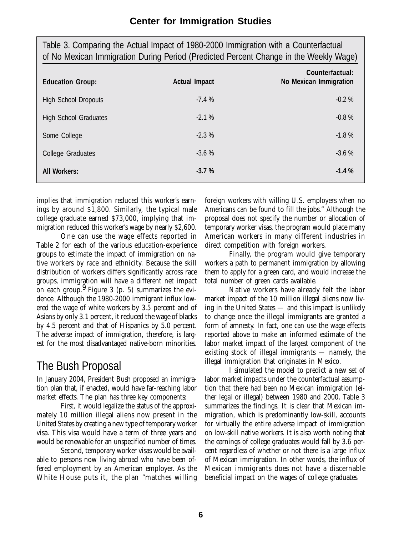| Table 3. Comparing the Actual Impact of 1980-2000 Immigration with a Counterfactual<br>of No Mexican Immigration During Period (Predicted Percent Change in the Weekly Wage) |                      |                                           |  |  |
|------------------------------------------------------------------------------------------------------------------------------------------------------------------------------|----------------------|-------------------------------------------|--|--|
| <b>Education Group:</b>                                                                                                                                                      | <b>Actual Impact</b> | Counterfactual:<br>No Mexican Immigration |  |  |
| <b>High School Dropouts</b>                                                                                                                                                  | $-7.4%$              | $-0.2%$                                   |  |  |
| <b>High School Graduates</b>                                                                                                                                                 | $-2.1%$              | $-0.8%$                                   |  |  |
| Some College                                                                                                                                                                 | $-2.3%$              | $-1.8%$                                   |  |  |
| College Graduates                                                                                                                                                            | $-3.6%$              | $-3.6%$                                   |  |  |
| <b>All Workers:</b>                                                                                                                                                          | $-3.7%$              | $-1.4%$                                   |  |  |

implies that immigration reduced this worker's earnings by around \$1,800. Similarly, the typical male college graduate earned \$73,000, implying that immigration reduced this worker's wage by nearly \$2,600.

One can use the wage effects reported in Table 2 for each of the various education-experience groups to estimate the impact of immigration on native workers by race and ethnicity. Because the skill distribution of workers differs significantly across race groups, immigration will have a different net impact on each group.  $9$  Figure 3 (p. 5) summarizes the evidence. Although the 1980-2000 immigrant influx lowered the wage of white workers by 3.5 percent and of Asians by only 3.1 percent, it reduced the wage of blacks by 4.5 percent and that of Hispanics by 5.0 percent. The adverse impact of immigration, therefore, is largest for the most disadvantaged native-born minorities.

## The Bush Proposal

In January 2004, President Bush proposed an immigration plan that, if enacted, would have far-reaching labor market effects. The plan has three key components:

First, it would legalize the status of the approximately 10 million illegal aliens now present in the United States by creating a new type of temporary worker visa. This visa would have a term of three years and would be renewable for an unspecified number of times.

Second, temporary worker visas would be available to persons now living abroad who have been offered employment by an American employer. As the White House puts it, the plan "matches willing foreign workers with willing U.S. employers when no Americans can be found to fill the jobs." Although the proposal does not specify the number or allocation of temporary worker visas, the program would place many American workers in many different industries in direct competition with foreign workers.

Finally, the program would give temporary workers a path to permanent immigration by allowing them to apply for a green card, and would increase the total number of green cards available.

Native workers have already felt the labor market impact of the 10 million illegal aliens now living in the United States — and this impact is unlikely to change once the illegal immigrants are granted a form of amnesty. In fact, one can use the wage effects reported above to make an informed estimate of the labor market impact of the largest component of the existing stock of illegal immigrants — namely, the illegal immigration that originates in Mexico.

I simulated the model to predict a new set of labor market impacts under the counterfactual assumption that there had been *no* Mexican immigration (either legal or illegal) between 1980 and 2000. Table 3 summarizes the findings. It is clear that Mexican immigration, which is predominantly low-skill, accounts for virtually the *entire* adverse impact of immigration on low-skill native workers. It is also worth noting that the earnings of college graduates would fall by 3.6 percent regardless of whether or not there is a large influx of Mexican immigration. In other words, the influx of Mexican immigrants does not have a discernable beneficial impact on the wages of college graduates.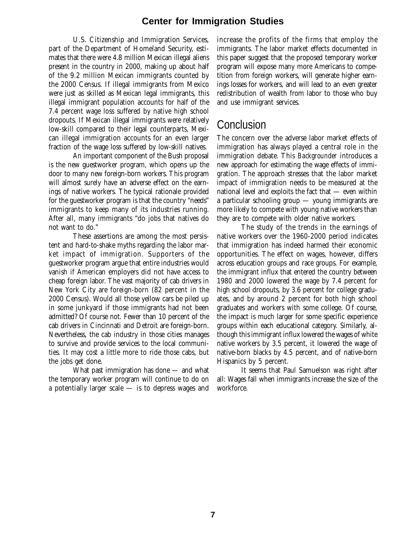U.S. Citizenship and Immigration Services, part of the Department of Homeland Security, estimates that there were 4.8 million Mexican illegal aliens present in the country in 2000, making up about half of the 9.2 million Mexican immigrants counted by the 2000 Census. If illegal immigrants from Mexico were just as skilled as Mexican legal immigrants, this illegal immigrant population accounts for half of the 7.4 percent wage loss suffered by native high school dropouts. If Mexican illegal immigrants were relatively low-skill compared to their legal counterparts, Mexican illegal immigration accounts for an even larger fraction of the wage loss suffered by low-skill natives.

An important component of the Bush proposal is the new guestworker program, which opens up the door to many new foreign-born workers. This program will almost surely have an adverse effect on the earnings of native workers. The typical rationale provided for the guestworker program is that the country "needs" immigrants to keep many of its industries running. After all, many immigrants "do jobs that natives do not want to do."

These assertions are among the most persistent and hard-to-shake myths regarding the labor market impact of immigration. Supporters of the guestworker program argue that entire industries would vanish if American employers did not have access to cheap foreign labor. The vast majority of cab drivers in New York City are foreign-born (82 percent in the 2000 Census). Would all those yellow cars be piled up in some junkyard if those immigrants had not been admitted? Of course not. Fewer than 10 percent of the cab drivers in Cincinnati and Detroit are foreign-born. Nevertheless, the cab industry in those cities manages to survive and provide services to the local communities. It may cost a little more to ride those cabs, but the jobs get done.

What past immigration has done — and what the temporary worker program will continue to do on a potentially larger scale — is to depress wages and increase the profits of the firms that employ the immigrants. The labor market effects documented in this paper suggest that the proposed temporary worker program will expose many more Americans to competition from foreign workers, will generate higher earnings losses for workers, and will lead to an even greater redistribution of wealth from labor to those who buy and use immigrant services.

## **Conclusion**

The concern over the adverse labor market effects of immigration has always played a central role in the immigration debate. This *Backgrounder* introduces a new approach for estimating the wage effects of immigration. The approach stresses that the labor market impact of immigration needs to be measured at the national level and exploits the fact that — even within a particular schooling group — young immigrants are more likely to compete with young native workers than they are to compete with older native workers.

The study of the trends in the earnings of native workers over the 1960-2000 period indicates that immigration has indeed harmed their economic opportunities. The effect on wages, however, differs across education groups and race groups. For example, the immigrant influx that entered the country between 1980 and 2000 lowered the wage by 7.4 percent for high school dropouts, by 3.6 percent for college graduates, and by around 2 percent for both high school graduates and workers with some college. Of course, the impact is much larger for some specific experience groups within each educational category. Similarly, although this immigrant influx lowered the wages of white native workers by 3.5 percent, it lowered the wage of native-born blacks by 4.5 percent, and of native-born Hispanics by 5 percent.

It seems that Paul Samuelson was right after all: Wages fall when immigrants increase the size of the workforce.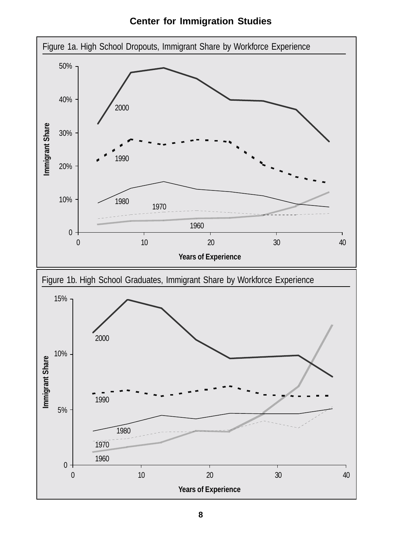**Center for Immigration Studies**

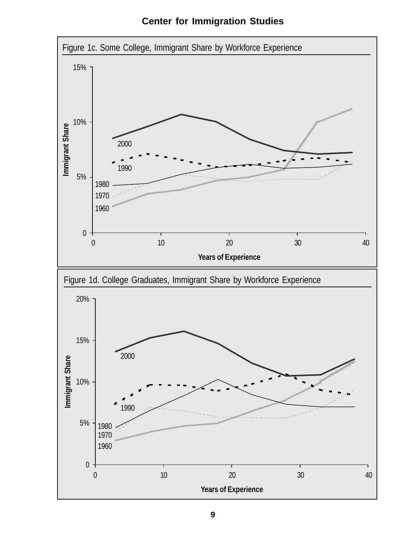**Center for Immigration Studies**

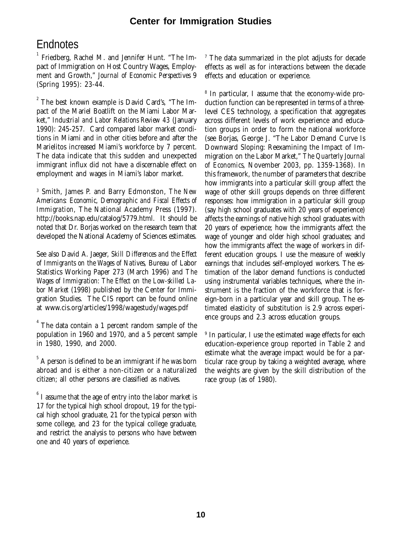## **Endnotes**

1 Friedberg, Rachel M. and Jennifer Hunt. "The Impact of Immigration on Host Country Wages, Employment and Growth," *Journal of Economic Perspectives* 9 (Spring 1995): 23-44.

 $2^{2}$  The best known example is David Card's, "The Impact of the Mariel Boatlift on the Miami Labor Market," *Industrial and Labor Relations Review 43* (January 1990): 245-257. Card compared labor market conditions in Miami and in other cities before and after the Marielitos increased Miami's workforce by 7 percent. The data indicate that this sudden and unexpected immigrant influx did not have a discernable effect on employment and wages in Miami's labor market.

3 Smith, James P. and Barry Edmonston, *The New Americans: Economic, Demographic and Fiscal Effects of Immigration,* The National Academy Press (1997). http://books.nap.edu/catalog/5779.html. It should be noted that Dr. Borjas worked on the research team that developed the National Academy of Sciences estimates.

See also David A. Jaeger, *Skill Differences and the Effect of Immigrants on the Wages of Natives*, Bureau of Labor Statistics Working Paper 273 (March 1996) and *The Wages of Immigration: The Effect on the Low-skilled Labor Market* (1998) published by the Center for Immigration Studies. The CIS report can be found online at www.cis.org/articles/1998/wagestudy/wages.pdf

 $^{4}$  The data contain a 1 percent random sample of the population in 1960 and 1970, and a 5 percent sample in 1980, 1990, and 2000.

 $^\tau$  The data summarized in the plot adjusts for decade effects as well as for interactions between the decade effects and education or experience.

8 In particular, I assume that the economy-wide production function can be represented in terms of a threelevel CES technology, a specification that aggregates across different levels of work experience and education groups in order to form the national workforce (see Borjas, George J. "The Labor Demand Curve Is Downward Sloping: Reexamining the Impact of Immigration on the Labor Market," *The Quarterly Journal of Economics*, November 2003, pp. 1359-1368). In this framework, the number of parameters that describe how immigrants into a particular skill group affect the wage of other skill groups depends on three different responses: how immigration in a particular skill group (say high school graduates with 20 years of experience) affects the earnings of native high school graduates with 20 years of experience; how the immigrants affect the wage of younger and older high school graduates; and how the immigrants affect the wage of workers in different education groups. I use the measure of weekly earnings that includes self-employed workers. The estimation of the labor demand functions is conducted using instrumental variables techniques, where the instrument is the fraction of the workforce that is foreign-born in a particular year and skill group. The estimated elasticity of substitution is 2.9 across experience groups and 2.3 across education groups.

9 In particular, I use the estimated wage effects for each education-experience group reported in Table 2 and estimate what the average impact would be for a particular race group by taking a weighted average, where the weights are given by the skill distribution of the race group (as of 1980).

 $^{\rm 5}$  A person is defined to be an immigrant if he was born abroad and is either a non-citizen or a naturalized citizen; all other persons are classified as natives.

 $^6$  I assume that the age of entry into the labor market is 17 for the typical high school dropout, 19 for the typical high school graduate, 21 for the typical person with some college, and 23 for the typical college graduate, and restrict the analysis to persons who have between one and 40 years of experience.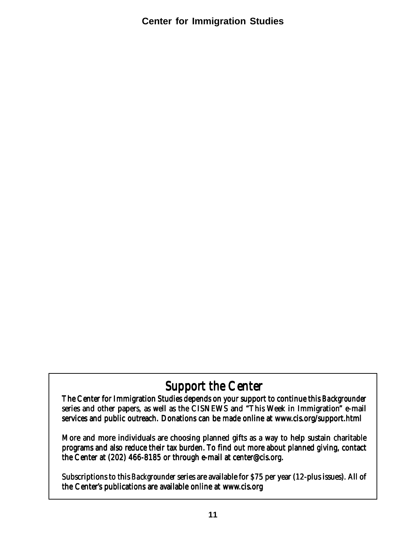# Support the Center

The Center for Immigration Studies depends on your support to continue this *Backgrounder* series and other papers, as well as the CISNEWS and "This Week in Immigration" e-mail services and public outreach. Donations can be made online at www.cis.org/support.html

More and more individuals are choosing planned gifts as a way to help sustain charitable programs and also reduce their tax burden. To find out more about planned giving, contact the Center at (202) 466-8185 or through e-mail at center@cis.org.

Subscriptions to this *Backgrounder* series are available for \$75 per year (12-plus issues). All of the Center's publications are available online at www.cis.org